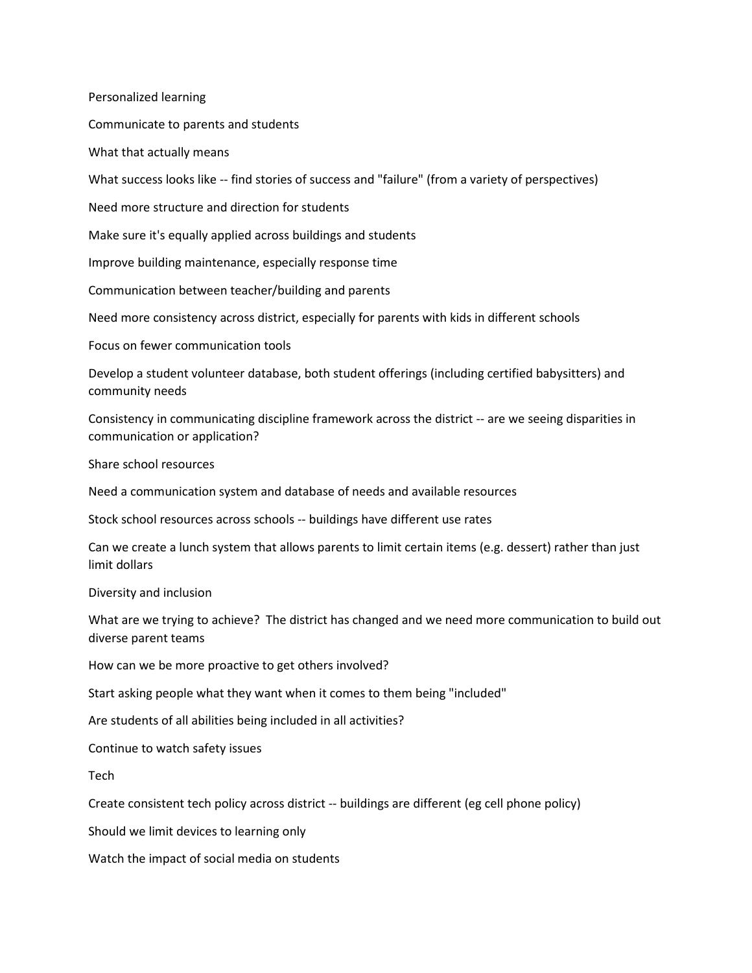Personalized learning

Communicate to parents and students

What that actually means

What success looks like -- find stories of success and "failure" (from a variety of perspectives)

Need more structure and direction for students

Make sure it's equally applied across buildings and students

Improve building maintenance, especially response time

Communication between teacher/building and parents

Need more consistency across district, especially for parents with kids in different schools

Focus on fewer communication tools

Develop a student volunteer database, both student offerings (including certified babysitters) and community needs

Consistency in communicating discipline framework across the district -- are we seeing disparities in communication or application?

Share school resources

Need a communication system and database of needs and available resources

Stock school resources across schools -- buildings have different use rates

Can we create a lunch system that allows parents to limit certain items (e.g. dessert) rather than just limit dollars

Diversity and inclusion

What are we trying to achieve? The district has changed and we need more communication to build out diverse parent teams

How can we be more proactive to get others involved?

Start asking people what they want when it comes to them being "included"

Are students of all abilities being included in all activities?

Continue to watch safety issues

Tech

Create consistent tech policy across district -- buildings are different (eg cell phone policy)

Should we limit devices to learning only

Watch the impact of social media on students